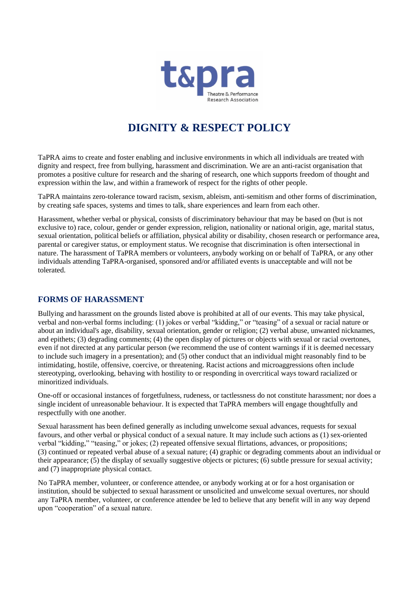

# **DIGNITY & RESPECT POLICY**

TaPRA aims to create and foster enabling and inclusive environments in which all individuals are treated with dignity and respect, free from bullying, harassment and discrimination. We are an anti-racist organisation that promotes a positive culture for research and the sharing of research, one which supports freedom of thought and expression within the law, and within a framework of respect for the rights of other people.

TaPRA maintains zero-tolerance toward racism, sexism, ableism, anti-semitism and other forms of discrimination, by creating safe spaces, systems and times to talk, share experiences and learn from each other.

Harassment, whether verbal or physical, consists of discriminatory behaviour that may be based on (but is not exclusive to) race, colour, gender or gender expression, religion, nationality or national origin, age, marital status, sexual orientation, political beliefs or affiliation, physical ability or disability, chosen research or performance area, parental or caregiver status, or employment status. We recognise that discrimination is often intersectional in nature. The harassment of TaPRA members or volunteers, anybody working on or behalf of TaPRA, or any other individuals attending TaPRA-organised, sponsored and/or affiliated events is unacceptable and will not be tolerated.

#### **FORMS OF HARASSMENT**

Bullying and harassment on the grounds listed above is prohibited at all of our events. This may take physical, verbal and non-verbal forms including: (1) jokes or verbal "kidding," or "teasing" of a sexual or racial nature or about an individual's age, disability, sexual orientation, gender or religion; (2) verbal abuse, unwanted nicknames, and epithets; (3) degrading comments; (4) the open display of pictures or objects with sexual or racial overtones, even if not directed at any particular person (we recommend the use of content warnings if it is deemed necessary to include such imagery in a presentation); and (5) other conduct that an individual might reasonably find to be intimidating, hostile, offensive, coercive, or threatening. Racist actions and microaggressions often include stereotyping, overlooking, behaving with hostility to or responding in overcritical ways toward racialized or minoritized individuals.

One-off or occasional instances of forgetfulness, rudeness, or tactlessness do not constitute harassment; nor does a single incident of unreasonable behaviour. It is expected that TaPRA members will engage thoughtfully and respectfully with one another.

Sexual harassment has been defined generally as including unwelcome sexual advances, requests for sexual favours, and other verbal or physical conduct of a sexual nature. It may include such actions as (1) sex-oriented verbal "kidding," "teasing," or jokes; (2) repeated offensive sexual flirtations, advances, or propositions; (3) continued or repeated verbal abuse of a sexual nature; (4) graphic or degrading comments about an individual or their appearance; (5) the display of sexually suggestive objects or pictures; (6) subtle pressure for sexual activity; and (7) inappropriate physical contact.

No TaPRA member, volunteer, or conference attendee, or anybody working at or for a host organisation or institution, should be subjected to sexual harassment or unsolicited and unwelcome sexual overtures, nor should any TaPRA member, volunteer, or conference attendee be led to believe that any benefit will in any way depend upon "cooperation" of a sexual nature.